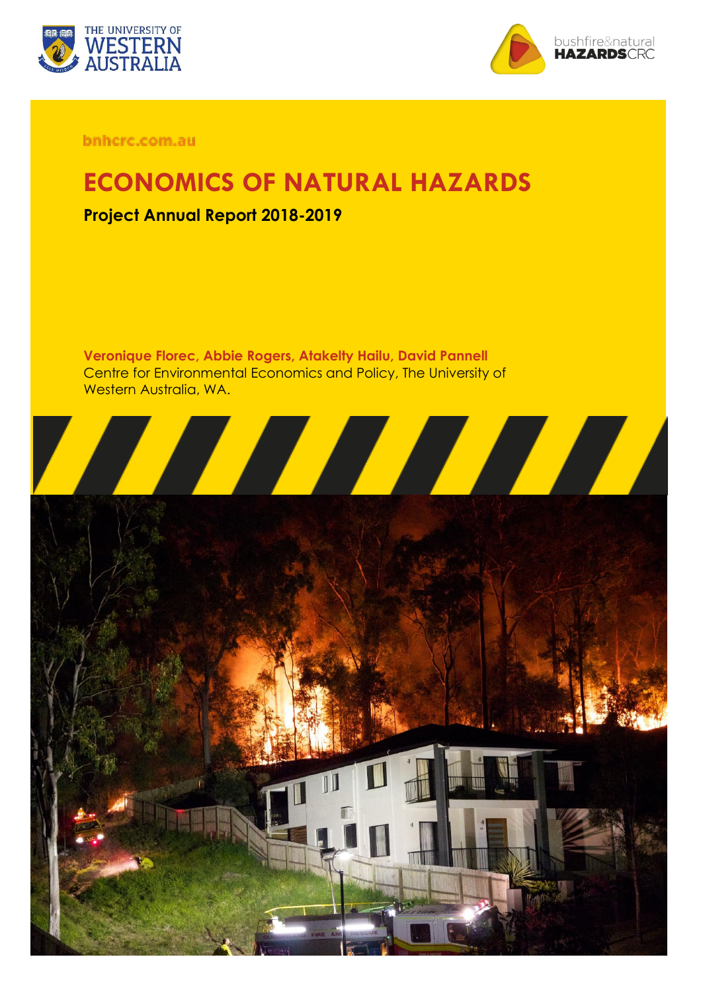



bnhcrc.com.au

## **ECONOMICS OF NATURAL HAZARDS**

### **Project Annual Report 2018-2019**

**Veronique Florec, Abbie Rogers, Atakelty Hailu, David Pannell** Centre for Environmental Economics and Policy, The University of Western Australia, WA.

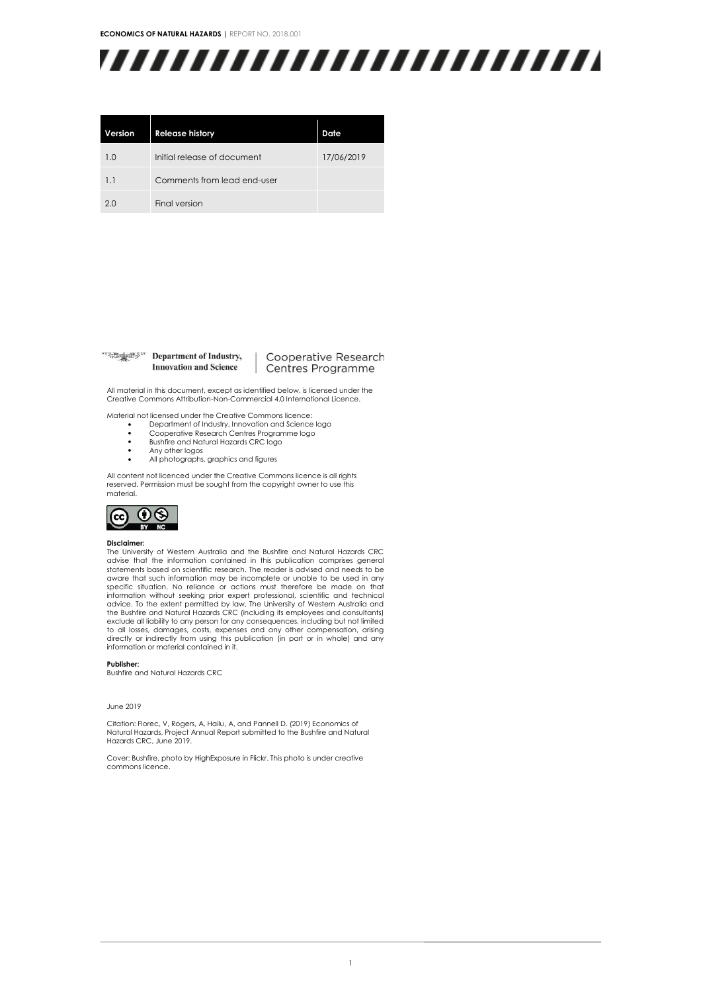**ECONOMICS OF NATURAL HAZARDS |** REPORT NO. 2018.001



| Version | <b>Release history</b>      | Date       |
|---------|-----------------------------|------------|
| 1.0     | Initial release of document | 17/06/2019 |
| 1.1     | Comments from lead end-user |            |
| 2.0     | Final version               |            |

#### **Example 7 Department of Industry, Innovation and Science**

#### Cooperative Research Centres Programme

All material in this document, except as identified below, is licensed under the Creative Commons Attribution-Non-Commercial 4.0 International Licence.

Material not licensed under the Creative Commons licence:

- Department of Industry, Innovation and Science logo Cooperative Research Centres Programme logo
- Bushfire and Natural Hazards CRC logo
- 
- Any other logos<br>• All photographs • All photographs, graphics and figures

All content not licenced under the Creative Commons licence is all rights reserved. Permission must be sought from the copyright owner to use this material.



#### **Disclaimer:**

The University of Western Australia and the Bushfire and Natural Hazards CRC advise that the information contained in this publication comprises general<br>statements based on scientific research. The reader is advised and needs to be aware that such information may be incomplete or unable to be used in any specific situation. No reliance or actions must therefore be made on that information without seeking prior expert professional, scientific and technical advice. To the extent permitted by law, The University of Western Australia and<br>the Bushfire and Natural Hazards CRC (including its employees and consultants)<br>exclude all liability to any person for any consequences, inclu to all losses, damages, costs, expenses and any other compensation, arising directly or indirectly from using this publication (in part or in whole) and any information or material contained in it.

#### **Publisher:**

Bushfire and Natural Hazards CRC

#### June 2019

Citation: Florec, V, Rogers, A, Hailu, A, and Pannell D. (2019) Economics of Natural Hazards, Project Annual Report submitted to the Bushfire and Natural Hazards CRC, June 2019.

Cover: Bushfire, photo by HighExposure in Flickr. This photo is under creative commons licence.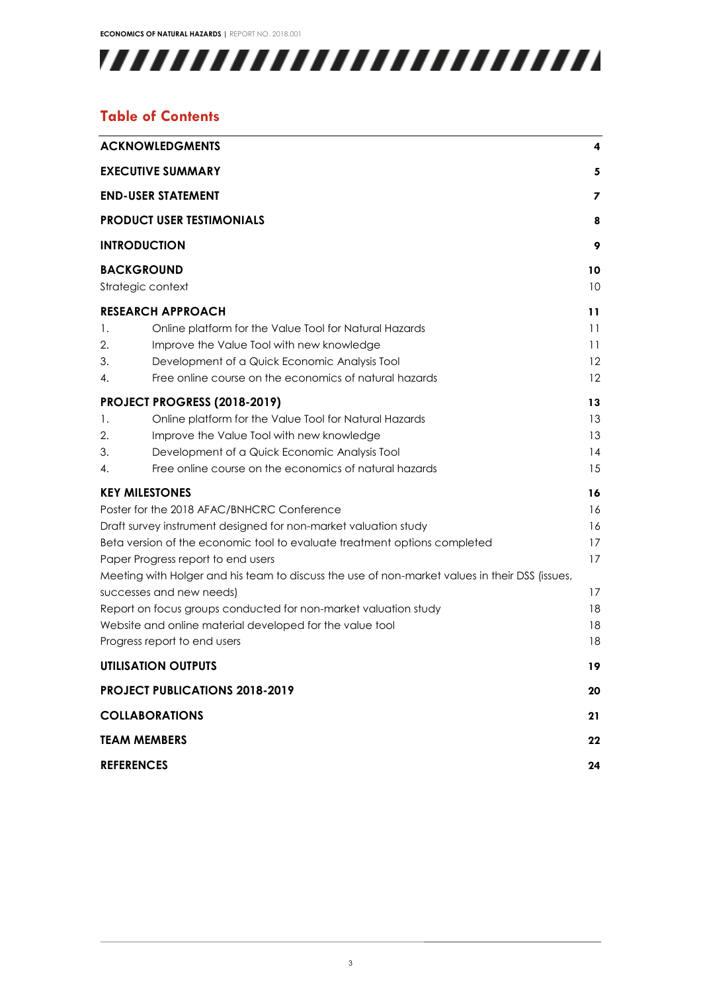

### **Table of Contents**

|                                    | <b>ACKNOWLEDGMENTS</b>                                                                         | 4  |  |
|------------------------------------|------------------------------------------------------------------------------------------------|----|--|
|                                    | <b>EXECUTIVE SUMMARY</b>                                                                       | 5  |  |
|                                    | <b>END-USER STATEMENT</b>                                                                      | 7  |  |
|                                    | <b>PRODUCT USER TESTIMONIALS</b>                                                               | 8  |  |
|                                    | <b>INTRODUCTION</b>                                                                            | 9  |  |
|                                    | <b>BACKGROUND</b>                                                                              | 10 |  |
|                                    | Strategic context                                                                              | 10 |  |
|                                    | <b>RESEARCH APPROACH</b>                                                                       | 11 |  |
| 1.                                 | Online platform for the Value Tool for Natural Hazards                                         | 11 |  |
| 2.                                 | Improve the Value Tool with new knowledge                                                      | 11 |  |
| 3.                                 | Development of a Quick Economic Analysis Tool                                                  | 12 |  |
| 4.                                 | Free online course on the economics of natural hazards                                         | 12 |  |
|                                    | PROJECT PROGRESS (2018-2019)                                                                   | 13 |  |
| 1.                                 | Online platform for the Value Tool for Natural Hazards                                         | 13 |  |
| 2.                                 | Improve the Value Tool with new knowledge                                                      | 13 |  |
| 3.                                 | Development of a Quick Economic Analysis Tool                                                  | 14 |  |
| 4.                                 | Free online course on the economics of natural hazards                                         | 15 |  |
|                                    | <b>KEY MILESTONES</b>                                                                          | 16 |  |
|                                    | Poster for the 2018 AFAC/BNHCRC Conference                                                     | 16 |  |
|                                    | Draft survey instrument designed for non-market valuation study                                | 16 |  |
|                                    | Beta version of the economic tool to evaluate treatment options completed                      | 17 |  |
| Paper Progress report to end users |                                                                                                |    |  |
|                                    | Meeting with Holger and his team to discuss the use of non-market values in their DSS (issues, |    |  |
|                                    | successes and new needs)                                                                       | 17 |  |
|                                    | Report on focus groups conducted for non-market valuation study                                |    |  |
|                                    | Website and online material developed for the value tool                                       | 18 |  |
|                                    | Progress report to end users                                                                   | 18 |  |
|                                    | <b>UTILISATION OUTPUTS</b>                                                                     | 19 |  |
|                                    | <b>PROJECT PUBLICATIONS 2018-2019</b>                                                          | 20 |  |
|                                    | <b>COLLABORATIONS</b>                                                                          | 21 |  |
|                                    | <b>TEAM MEMBERS</b>                                                                            | 22 |  |
|                                    | <b>REFERENCES</b>                                                                              | 24 |  |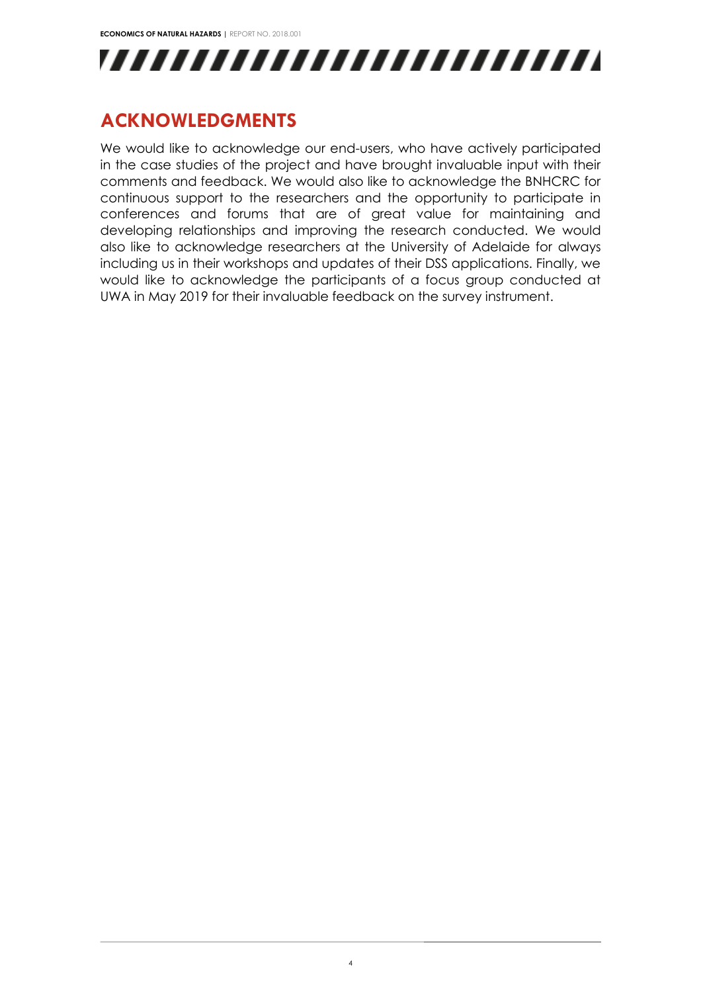

## <span id="page-3-0"></span>**ACKNOWLEDGMENTS**

We would like to acknowledge our end-users, who have actively participated in the case studies of the project and have brought invaluable input with their comments and feedback. We would also like to acknowledge the BNHCRC for continuous support to the researchers and the opportunity to participate in conferences and forums that are of great value for maintaining and developing relationships and improving the research conducted. We would also like to acknowledge researchers at the University of Adelaide for always including us in their workshops and updates of their DSS applications. Finally, we would like to acknowledge the participants of a focus group conducted at UWA in May 2019 for their invaluable feedback on the survey instrument.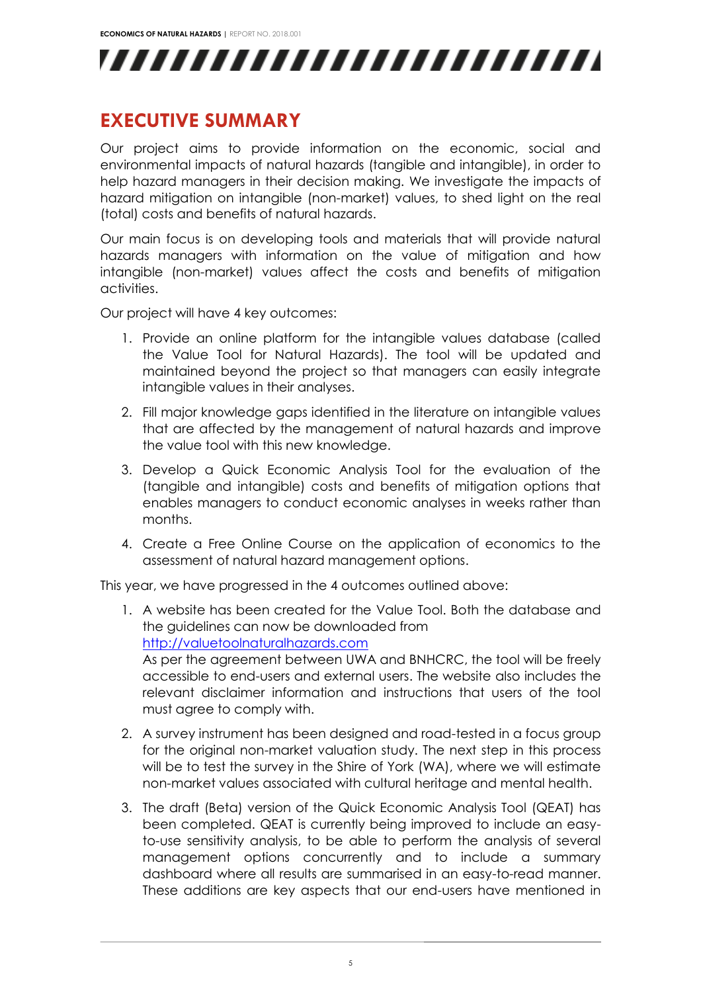

### <span id="page-4-0"></span>**EXECUTIVE SUMMARY**

Our project aims to provide information on the economic, social and environmental impacts of natural hazards (tangible and intangible), in order to help hazard managers in their decision making. We investigate the impacts of hazard mitigation on intangible (non-market) values, to shed light on the real (total) costs and benefits of natural hazards.

Our main focus is on developing tools and materials that will provide natural hazards managers with information on the value of mitigation and how intangible (non-market) values affect the costs and benefits of mitigation activities.

Our project will have 4 key outcomes:

- 1. Provide an online platform for the intangible values database (called the Value Tool for Natural Hazards). The tool will be updated and maintained beyond the project so that managers can easily integrate intangible values in their analyses.
- 2. Fill major knowledge gaps identified in the literature on intangible values that are affected by the management of natural hazards and improve the value tool with this new knowledge.
- 3. Develop a Quick Economic Analysis Tool for the evaluation of the (tangible and intangible) costs and benefits of mitigation options that enables managers to conduct economic analyses in weeks rather than months.
- 4. Create a Free Online Course on the application of economics to the assessment of natural hazard management options.

This year, we have progressed in the 4 outcomes outlined above:

- 1. A website has been created for the Value Tool. Both the database and the guidelines can now be downloaded from [http://valuetoolnaturalhazards.com](http://valuetoolnaturalhazards.com/) As per the agreement between UWA and BNHCRC, the tool will be freely accessible to end-users and external users. The website also includes the relevant disclaimer information and instructions that users of the tool must agree to comply with.
- 2. A survey instrument has been designed and road-tested in a focus group for the original non-market valuation study. The next step in this process will be to test the survey in the Shire of York (WA), where we will estimate non-market values associated with cultural heritage and mental health.
- 3. The draft (Beta) version of the Quick Economic Analysis Tool (QEAT) has been completed. QEAT is currently being improved to include an easyto-use sensitivity analysis, to be able to perform the analysis of several management options concurrently and to include a summary dashboard where all results are summarised in an easy-to-read manner. These additions are key aspects that our end-users have mentioned in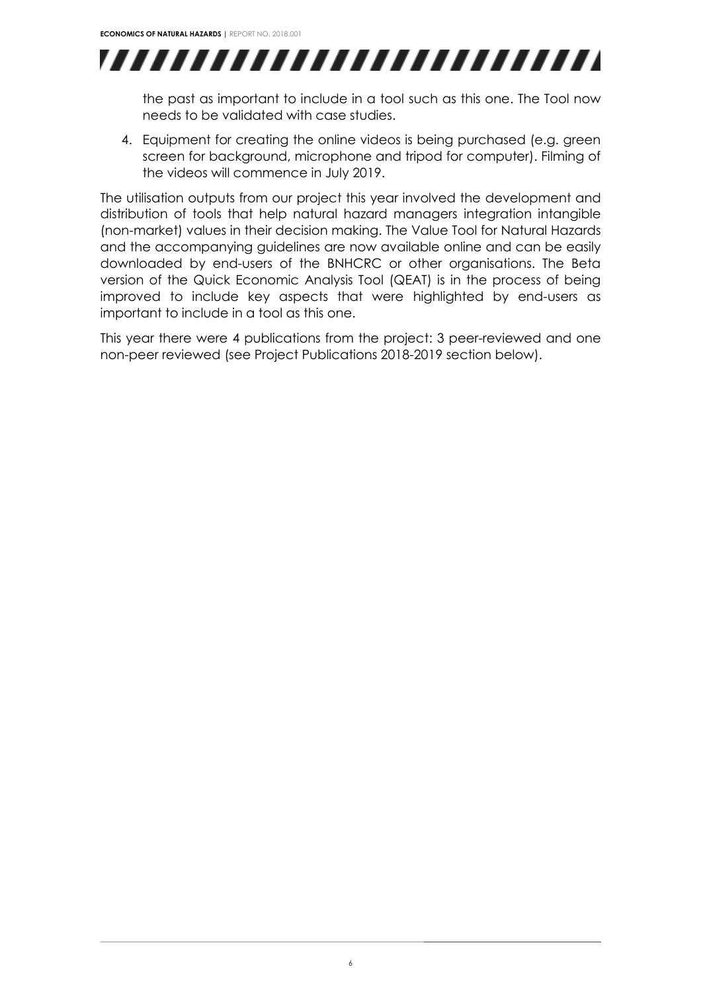

the past as important to include in a tool such as this one. The Tool now needs to be validated with case studies.

4. Equipment for creating the online videos is being purchased (e.g. green screen for background, microphone and tripod for computer). Filming of the videos will commence in July 2019.

The utilisation outputs from our project this year involved the development and distribution of tools that help natural hazard managers integration intangible (non-market) values in their decision making. The Value Tool for Natural Hazards and the accompanying guidelines are now available online and can be easily downloaded by end-users of the BNHCRC or other organisations. The Beta version of the Quick Economic Analysis Tool (QEAT) is in the process of being improved to include key aspects that were highlighted by end-users as important to include in a tool as this one.

This year there were 4 publications from the project: 3 peer-reviewed and one non-peer reviewed (see Project Publications 2018-2019 section [below\)](#page-19-0).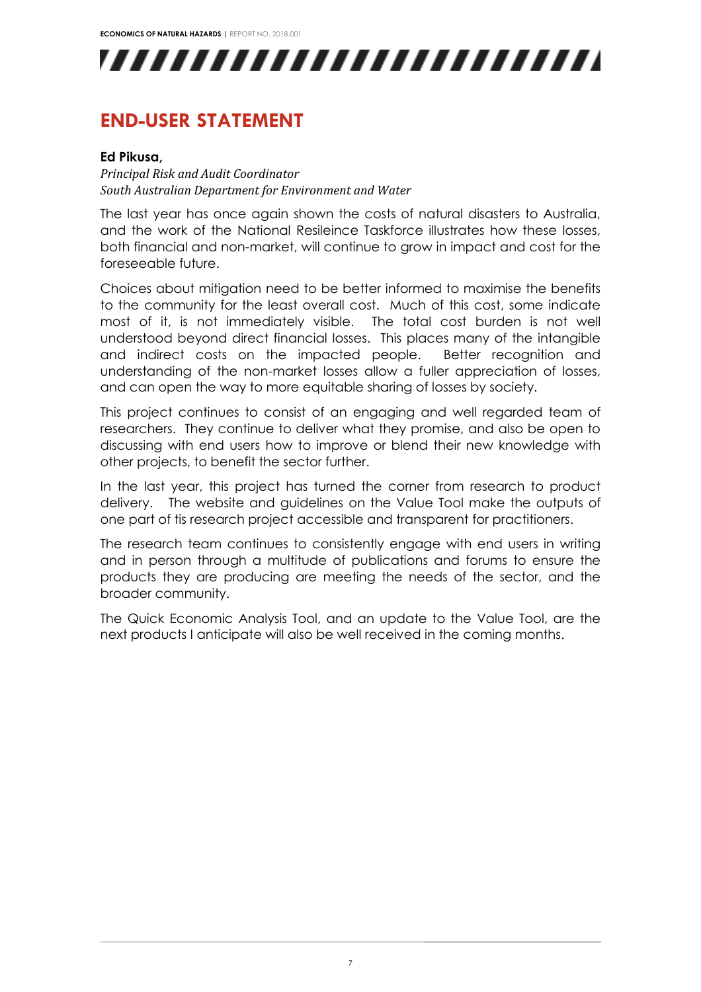

### <span id="page-6-0"></span>**END-USER STATEMENT**

#### **Ed Pikusa,**

*Principal Risk and Audit Coordinator South Australian Department for Environment and Water* 

The last year has once again shown the costs of natural disasters to Australia, and the work of the National Resileince Taskforce illustrates how these losses, both financial and non-market, will continue to grow in impact and cost for the foreseeable future.

Choices about mitigation need to be better informed to maximise the benefits to the community for the least overall cost. Much of this cost, some indicate most of it, is not immediately visible. The total cost burden is not well understood beyond direct financial losses. This places many of the intangible and indirect costs on the impacted people. Better recognition and understanding of the non-market losses allow a fuller appreciation of losses, and can open the way to more equitable sharing of losses by society.

This project continues to consist of an engaging and well regarded team of researchers. They continue to deliver what they promise, and also be open to discussing with end users how to improve or blend their new knowledge with other projects, to benefit the sector further.

In the last year, this project has turned the corner from research to product delivery. The website and guidelines on the Value Tool make the outputs of one part of tis research project accessible and transparent for practitioners.

The research team continues to consistently engage with end users in writing and in person through a multitude of publications and forums to ensure the products they are producing are meeting the needs of the sector, and the broader community.

The Quick Economic Analysis Tool, and an update to the Value Tool, are the next products I anticipate will also be well received in the coming months.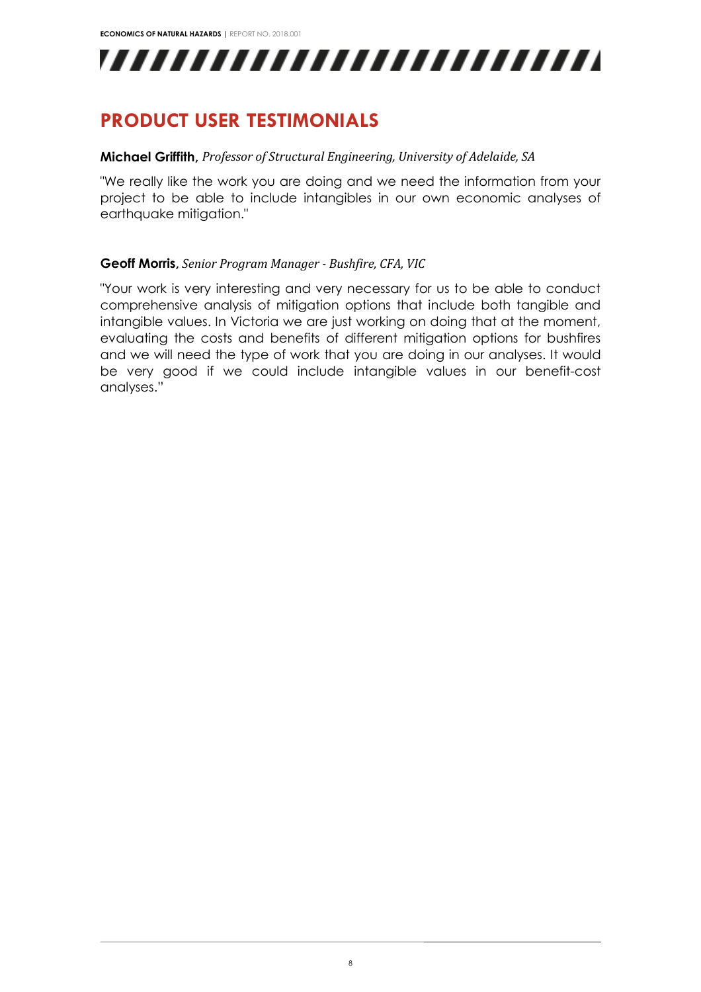,,,,,,,,,,,,,,,,,,,,,,,,,

## <span id="page-7-0"></span>**PRODUCT USER TESTIMONIALS**

#### **Michael Griffith,** *Professor of Structural Engineering, University of Adelaide, SA*

"We really like the work you are doing and we need the information from your project to be able to include intangibles in our own economic analyses of earthquake mitigation."

#### **Geoff Morris,** *Senior Program Manager - Bushfire, CFA, VIC*

"Your work is very interesting and very necessary for us to be able to conduct comprehensive analysis of mitigation options that include both tangible and intangible values. In Victoria we are just working on doing that at the moment, evaluating the costs and benefits of different mitigation options for bushfires and we will need the type of work that you are doing in our analyses. It would be very good if we could include intangible values in our benefit-cost analyses."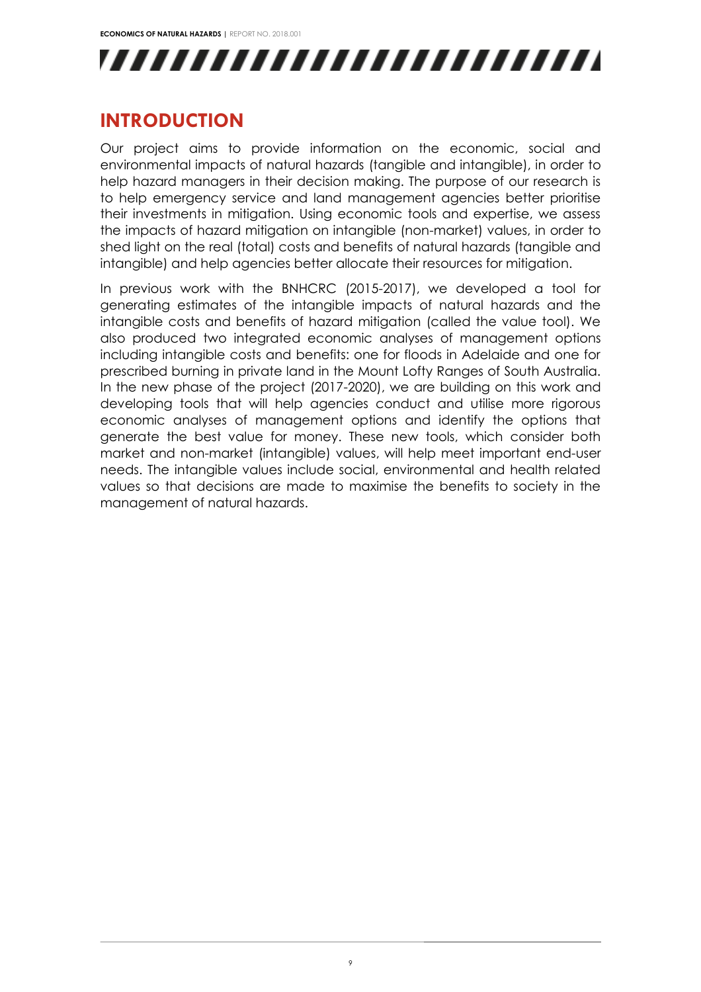**ECONOMICS OF NATURAL HAZARDS |** REPORT NO. 2018.001



## <span id="page-8-0"></span>**INTRODUCTION**

Our project aims to provide information on the economic, social and environmental impacts of natural hazards (tangible and intangible), in order to help hazard managers in their decision making. The purpose of our research is to help emergency service and land management agencies better prioritise their investments in mitigation. Using economic tools and expertise, we assess the impacts of hazard mitigation on intangible (non-market) values, in order to shed light on the real (total) costs and benefits of natural hazards (tangible and intangible) and help agencies better allocate their resources for mitigation.

In previous work with the BNHCRC (2015-2017), we developed a tool for generating estimates of the intangible impacts of natural hazards and the intangible costs and benefits of hazard mitigation (called the value tool). We also produced two integrated economic analyses of management options including intangible costs and benefits: one for floods in Adelaide and one for prescribed burning in private land in the Mount Lofty Ranges of South Australia. In the new phase of the project (2017-2020), we are building on this work and developing tools that will help agencies conduct and utilise more rigorous economic analyses of management options and identify the options that generate the best value for money. These new tools, which consider both market and non-market (intangible) values, will help meet important end-user needs. The intangible values include social, environmental and health related values so that decisions are made to maximise the benefits to society in the management of natural hazards.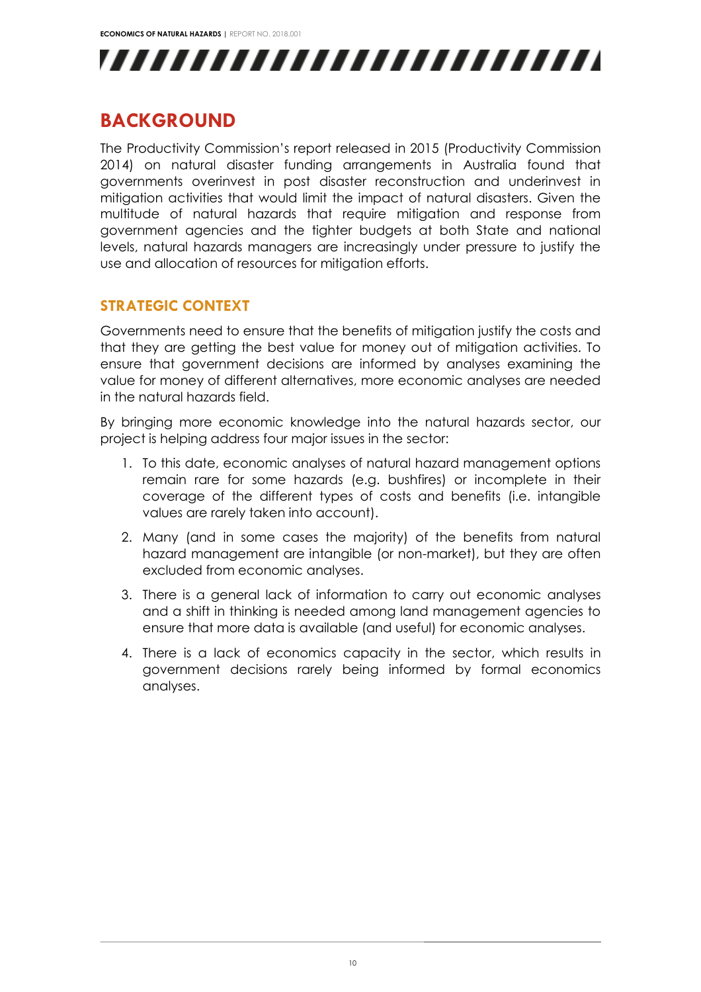

### <span id="page-9-0"></span>**BACKGROUND**

The Productivity Commission's report released in 2015 (Productivity Commission 2014) on natural disaster funding arrangements in Australia found that governments overinvest in post disaster reconstruction and underinvest in mitigation activities that would limit the impact of natural disasters. Given the multitude of natural hazards that require mitigation and response from government agencies and the tighter budgets at both State and national levels, natural hazards managers are increasingly under pressure to justify the use and allocation of resources for mitigation efforts.

#### <span id="page-9-1"></span>**STRATEGIC CONTEXT**

Governments need to ensure that the benefits of mitigation justify the costs and that they are getting the best value for money out of mitigation activities. To ensure that government decisions are informed by analyses examining the value for money of different alternatives, more economic analyses are needed in the natural hazards field.

By bringing more economic knowledge into the natural hazards sector, our project is helping address four major issues in the sector:

- 1. To this date, economic analyses of natural hazard management options remain rare for some hazards (e.g. bushfires) or incomplete in their coverage of the different types of costs and benefits (i.e. intangible values are rarely taken into account).
- 2. Many (and in some cases the majority) of the benefits from natural hazard management are intangible (or non-market), but they are often excluded from economic analyses.
- 3. There is a general lack of information to carry out economic analyses and a shift in thinking is needed among land management agencies to ensure that more data is available (and useful) for economic analyses.
- 4. There is a lack of economics capacity in the sector, which results in government decisions rarely being informed by formal economics analyses.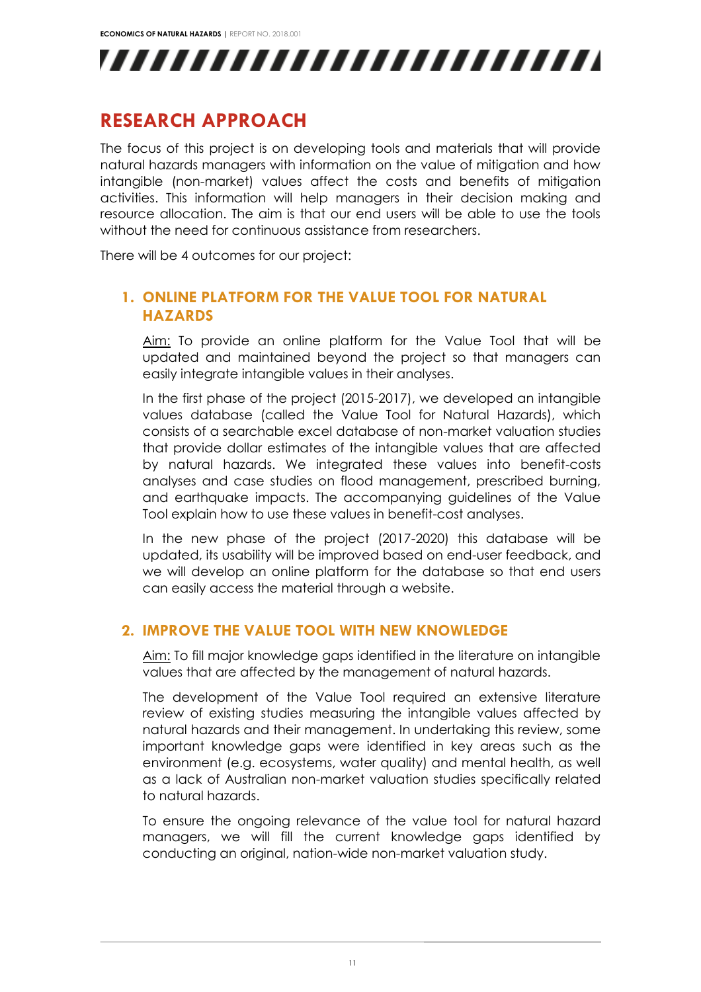![](_page_10_Picture_1.jpeg)

### <span id="page-10-0"></span>**RESEARCH APPROACH**

The focus of this project is on developing tools and materials that will provide natural hazards managers with information on the value of mitigation and how intangible (non-market) values affect the costs and benefits of mitigation activities. This information will help managers in their decision making and resource allocation. The aim is that our end users will be able to use the tools without the need for continuous assistance from researchers.

<span id="page-10-1"></span>There will be 4 outcomes for our project:

#### **1. ONLINE PLATFORM FOR THE VALUE TOOL FOR NATURAL HAZARDS**

Aim: To provide an online platform for the Value Tool that will be updated and maintained beyond the project so that managers can easily integrate intangible values in their analyses.

In the first phase of the project (2015-2017), we developed an intangible values database (called the Value Tool for Natural Hazards), which consists of a searchable excel database of non-market valuation studies that provide dollar estimates of the intangible values that are affected by natural hazards. We integrated these values into benefit-costs analyses and case studies on flood management, prescribed burning, and earthquake impacts. The accompanying guidelines of the Value Tool explain how to use these values in benefit-cost analyses.

In the new phase of the project (2017-2020) this database will be updated, its usability will be improved based on end-user feedback, and we will develop an online platform for the database so that end users can easily access the material through a website.

#### <span id="page-10-2"></span>**2. IMPROVE THE VALUE TOOL WITH NEW KNOWLEDGE**

Aim: To fill major knowledge gaps identified in the literature on intangible values that are affected by the management of natural hazards.

The development of the Value Tool required an extensive literature review of existing studies measuring the intangible values affected by natural hazards and their management. In undertaking this review, some important knowledge gaps were identified in key areas such as the environment (e.g. ecosystems, water quality) and mental health, as well as a lack of Australian non-market valuation studies specifically related to natural hazards.

To ensure the ongoing relevance of the value tool for natural hazard managers, we will fill the current knowledge gaps identified by conducting an original, nation-wide non-market valuation study.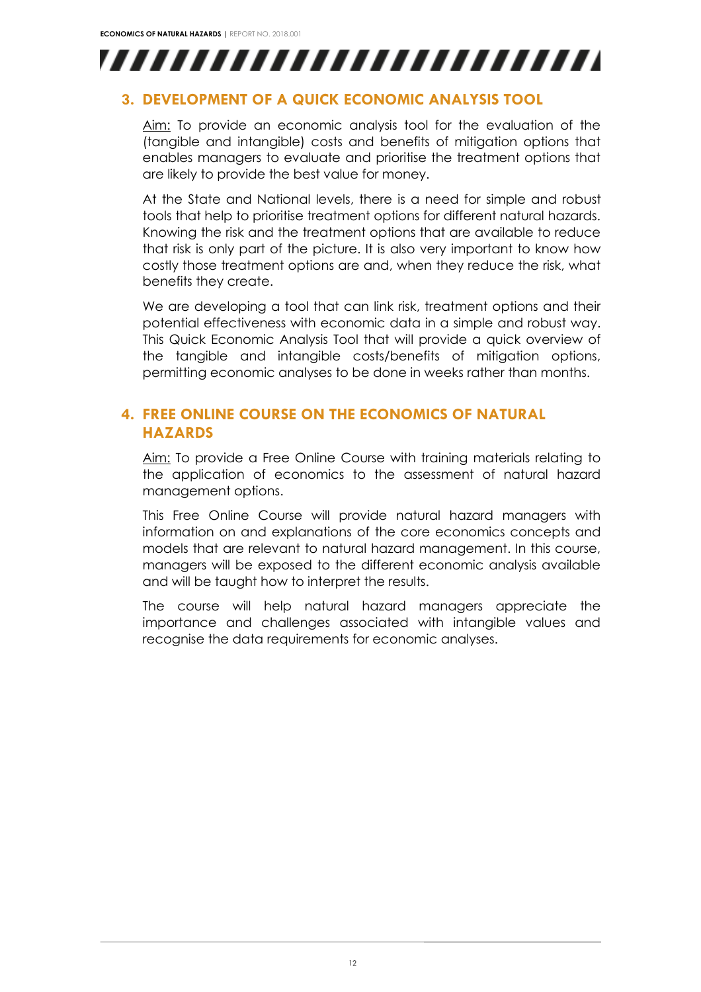![](_page_11_Picture_1.jpeg)

#### <span id="page-11-0"></span>**3. DEVELOPMENT OF A QUICK ECONOMIC ANALYSIS TOOL**

Aim: To provide an economic analysis tool for the evaluation of the (tangible and intangible) costs and benefits of mitigation options that enables managers to evaluate and prioritise the treatment options that are likely to provide the best value for money.

At the State and National levels, there is a need for simple and robust tools that help to prioritise treatment options for different natural hazards. Knowing the risk and the treatment options that are available to reduce that risk is only part of the picture. It is also very important to know how costly those treatment options are and, when they reduce the risk, what benefits they create.

We are developing a tool that can link risk, treatment options and their potential effectiveness with economic data in a simple and robust way. This Quick Economic Analysis Tool that will provide a quick overview of the tangible and intangible costs/benefits of mitigation options, permitting economic analyses to be done in weeks rather than months.

### <span id="page-11-1"></span>**4. FREE ONLINE COURSE ON THE ECONOMICS OF NATURAL HAZARDS**

Aim: To provide a Free Online Course with training materials relating to the application of economics to the assessment of natural hazard management options.

This Free Online Course will provide natural hazard managers with information on and explanations of the core economics concepts and models that are relevant to natural hazard management. In this course, managers will be exposed to the different economic analysis available and will be taught how to interpret the results.

The course will help natural hazard managers appreciate the importance and challenges associated with intangible values and recognise the data requirements for economic analyses.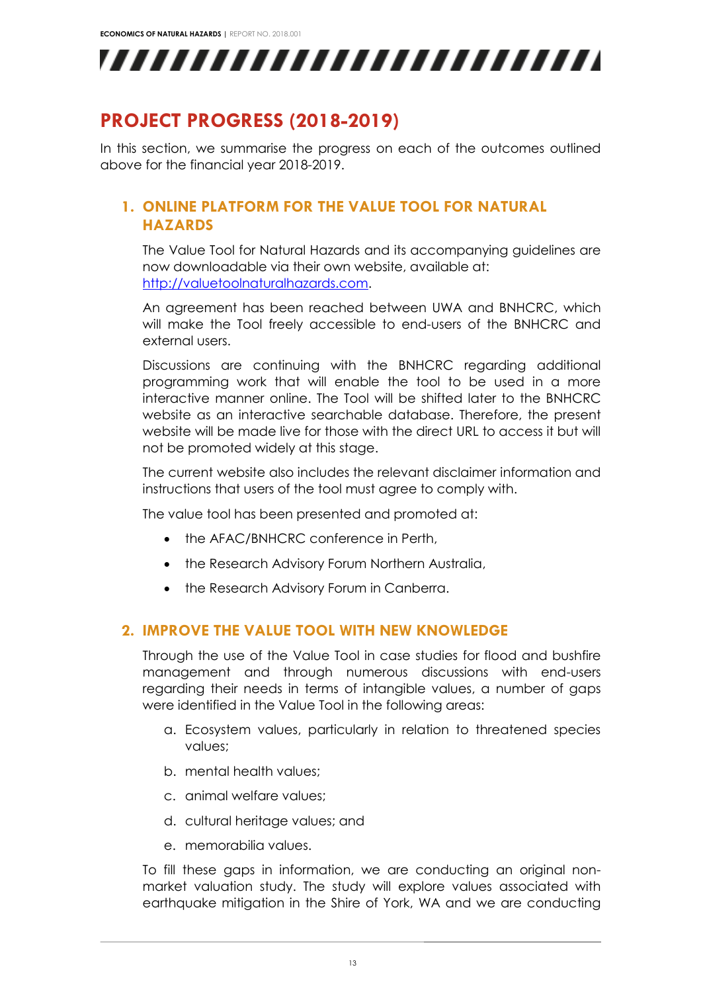![](_page_12_Picture_1.jpeg)

## <span id="page-12-0"></span>**PROJECT PROGRESS (2018-2019)**

<span id="page-12-1"></span>In this section, we summarise the progress on each of the outcomes outlined above for the financial year 2018-2019.

### **1. ONLINE PLATFORM FOR THE VALUE TOOL FOR NATURAL HAZARDS**

The Value Tool for Natural Hazards and its accompanying guidelines are now downloadable via their own website, available at: [http://valuetoolnaturalhazards.com.](http://valuetoolnaturalhazards.com/)

An agreement has been reached between UWA and BNHCRC, which will make the Tool freely accessible to end-users of the BNHCRC and external users.

Discussions are continuing with the BNHCRC regarding additional programming work that will enable the tool to be used in a more interactive manner online. The Tool will be shifted later to the BNHCRC website as an interactive searchable database. Therefore, the present website will be made live for those with the direct URL to access it but will not be promoted widely at this stage.

The current website also includes the relevant disclaimer information and instructions that users of the tool must agree to comply with.

The value tool has been presented and promoted at:

- the AFAC/BNHCRC conference in Perth,
- the Research Advisory Forum Northern Australia,
- the Research Advisory Forum in Canberra.

#### <span id="page-12-2"></span>**2. IMPROVE THE VALUE TOOL WITH NEW KNOWLEDGE**

Through the use of the Value Tool in case studies for flood and bushfire management and through numerous discussions with end-users regarding their needs in terms of intangible values, a number of gaps were identified in the Value Tool in the following areas:

- a. Ecosystem values, particularly in relation to threatened species values;
- b. mental health values;
- c. animal welfare values;
- d. cultural heritage values; and
- e. memorabilia values.

To fill these gaps in information, we are conducting an original nonmarket valuation study. The study will explore values associated with earthquake mitigation in the Shire of York, WA and we are conducting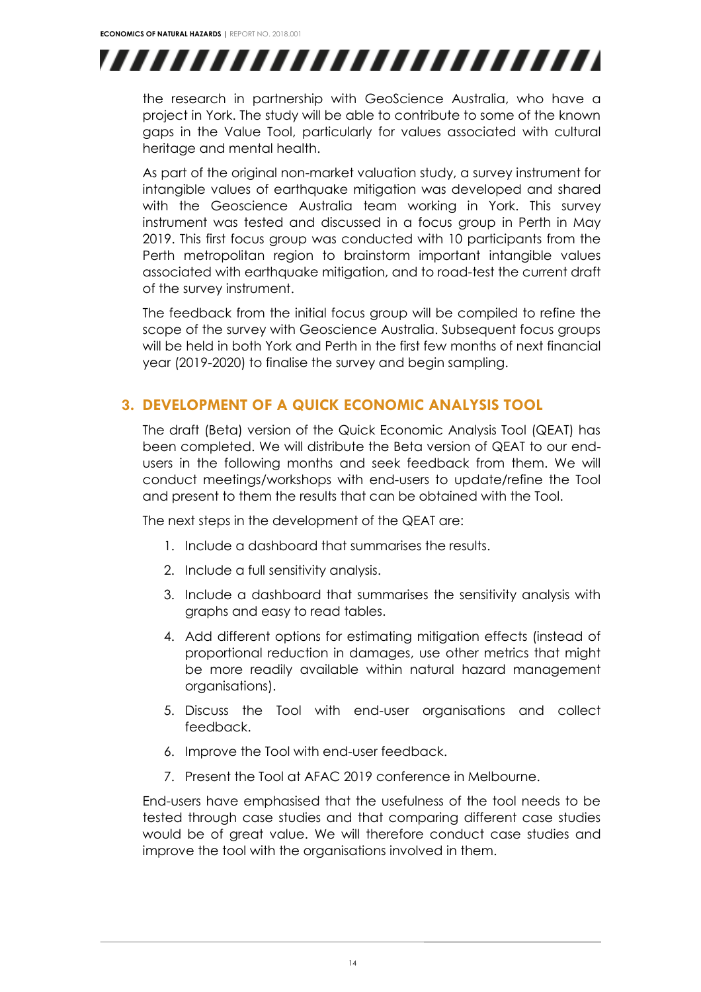![](_page_13_Picture_1.jpeg)

the research in partnership with GeoScience Australia, who have a project in York. The study will be able to contribute to some of the known gaps in the Value Tool, particularly for values associated with cultural heritage and mental health.

As part of the original non-market valuation study, a survey instrument for intangible values of earthquake mitigation was developed and shared with the Geoscience Australia team working in York. This survey instrument was tested and discussed in a focus group in Perth in May 2019. This first focus group was conducted with 10 participants from the Perth metropolitan region to brainstorm important intangible values associated with earthquake mitigation, and to road-test the current draft of the survey instrument.

The feedback from the initial focus group will be compiled to refine the scope of the survey with Geoscience Australia. Subsequent focus groups will be held in both York and Perth in the first few months of next financial year (2019-2020) to finalise the survey and begin sampling.

#### <span id="page-13-0"></span>**3. DEVELOPMENT OF A QUICK ECONOMIC ANALYSIS TOOL**

The draft (Beta) version of the Quick Economic Analysis Tool (QEAT) has been completed. We will distribute the Beta version of QEAT to our endusers in the following months and seek feedback from them. We will conduct meetings/workshops with end-users to update/refine the Tool and present to them the results that can be obtained with the Tool.

The next steps in the development of the QEAT are:

- 1. Include a dashboard that summarises the results.
- 2. Include a full sensitivity analysis.
- 3. Include a dashboard that summarises the sensitivity analysis with graphs and easy to read tables.
- 4. Add different options for estimating mitigation effects (instead of proportional reduction in damages, use other metrics that might be more readily available within natural hazard management organisations).
- 5. Discuss the Tool with end-user organisations and collect feedback.
- 6. Improve the Tool with end-user feedback.
- 7. Present the Tool at AFAC 2019 conference in Melbourne.

End-users have emphasised that the usefulness of the tool needs to be tested through case studies and that comparing different case studies would be of great value. We will therefore conduct case studies and improve the tool with the organisations involved in them.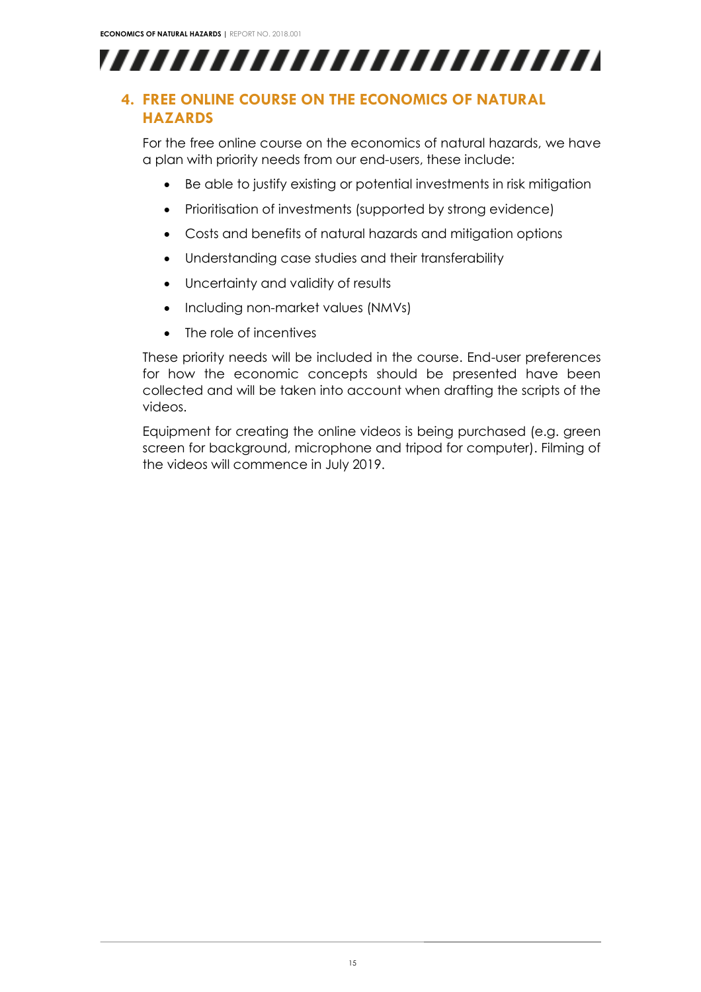![](_page_14_Picture_1.jpeg)

### <span id="page-14-0"></span>**4. FREE ONLINE COURSE ON THE ECONOMICS OF NATURAL HAZARDS**

For the free online course on the economics of natural hazards, we have a plan with priority needs from our end-users, these include:

- Be able to justify existing or potential investments in risk mitigation
- Prioritisation of investments (supported by strong evidence)
- Costs and benefits of natural hazards and mitigation options
- Understanding case studies and their transferability
- Uncertainty and validity of results
- Including non-market values (NMVs)
- The role of incentives

These priority needs will be included in the course. End-user preferences for how the economic concepts should be presented have been collected and will be taken into account when drafting the scripts of the videos.

Equipment for creating the online videos is being purchased (e.g. green screen for background, microphone and tripod for computer). Filming of the videos will commence in July 2019.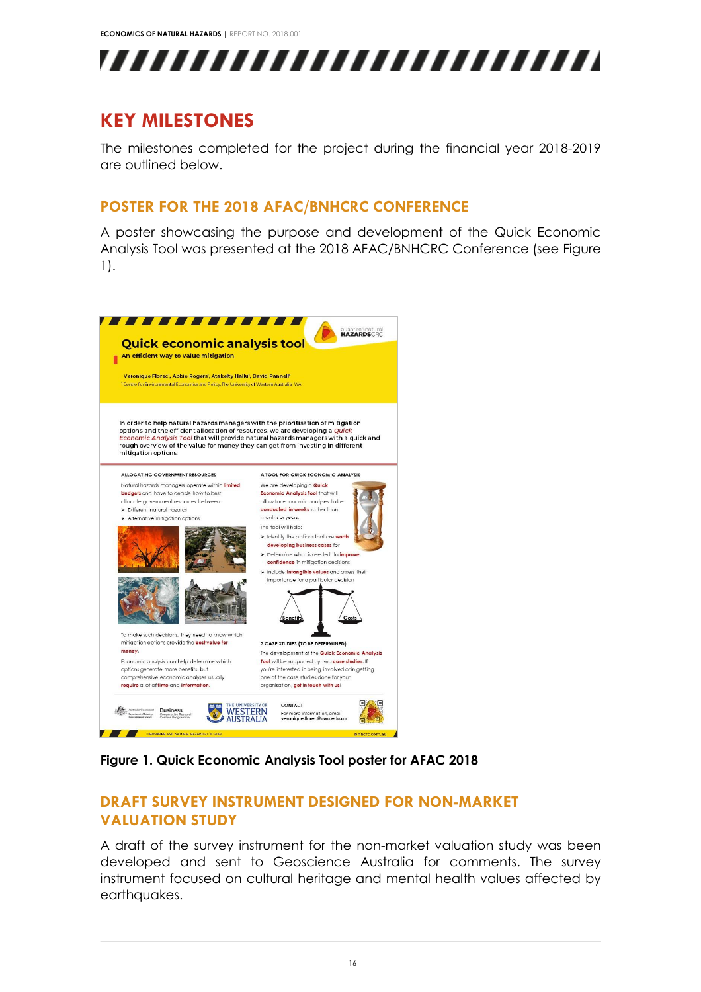![](_page_15_Picture_1.jpeg)

### <span id="page-15-0"></span>**KEY MILESTONES**

The milestones completed for the project during the financial year 2018-2019 are outlined below.

### <span id="page-15-1"></span>**POSTER FOR THE 2018 AFAC/BNHCRC CONFERENCE**

A poster showcasing the purpose and development of the Quick Economic Analysis Tool was presented at the 2018 AFAC/BNHCRC Conference (see [Figure](#page-15-3)  [1\)](#page-15-3).

![](_page_15_Picture_6.jpeg)

**Figure 1. Quick Economic Analysis Tool poster for AFAC 2018**

#### <span id="page-15-3"></span><span id="page-15-2"></span>**DRAFT SURVEY INSTRUMENT DESIGNED FOR NON-MARKET VALUATION STUDY**

A draft of the survey instrument for the non-market valuation study was been developed and sent to Geoscience Australia for comments. The survey instrument focused on cultural heritage and mental health values affected by earthquakes.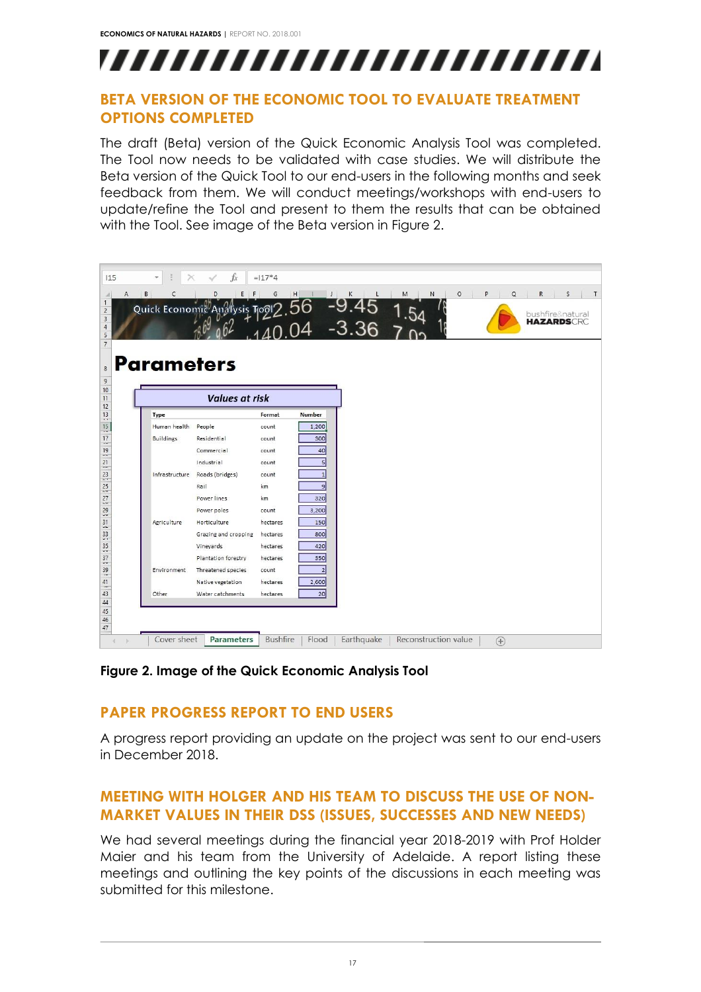# ,,,,,,,,,,,,,,,,,,,,,,,,,

#### <span id="page-16-0"></span>**BETA VERSION OF THE ECONOMIC TOOL TO EVALUATE TREATMENT OPTIONS COMPLETED**

The draft (Beta) version of the Quick Economic Analysis Tool was completed. The Tool now needs to be validated with case studies. We will distribute the Beta version of the Quick Tool to our end-users in the following months and seek feedback from them. We will conduct meetings/workshops with end-users to update/refine the Tool and present to them the results that can be obtained with the Tool. See image of the Beta version in [Figure 2.](#page-16-3)

| 115          |                   | $f_x$                                      | $=117*4$        |                                  |            |                      |                          |                                |
|--------------|-------------------|--------------------------------------------|-----------------|----------------------------------|------------|----------------------|--------------------------|--------------------------------|
| $\mathsf{A}$ | B<br>C            | D<br>$E$ $F$                               | G<br>H          |                                  | κ          | M<br>N               | $\circ$<br>P<br>$\Omega$ | R<br>S                         |
|              |                   | Quick Economic Analysis To 2.56 -9.45 1.54 |                 |                                  |            |                      |                          | bushfire♮<br><b>HAZARDSCRC</b> |
|              |                   |                                            |                 |                                  |            |                      |                          |                                |
|              |                   |                                            |                 |                                  |            |                      |                          |                                |
|              | <b>Parameters</b> |                                            |                 |                                  |            |                      |                          |                                |
|              |                   |                                            |                 |                                  |            |                      |                          |                                |
|              |                   | <b>Values at risk</b>                      |                 |                                  |            |                      |                          |                                |
|              | Type              |                                            | Format          | <b>Number</b>                    |            |                      |                          |                                |
|              | Human health      | People                                     | count           | 1,200                            |            |                      |                          |                                |
|              | Buildings         | Residential                                | count           | 300                              |            |                      |                          |                                |
|              |                   | Commercial                                 | count           | 40                               |            |                      |                          |                                |
|              |                   | Industrial                                 | count           | $\overline{5}$                   |            |                      |                          |                                |
|              | Infrastructure    | Roads (bridges)<br>Rail                    | count<br>km     | $\overline{1}$<br>$\overline{9}$ |            |                      |                          |                                |
|              |                   | Power lines                                | km              | 320                              |            |                      |                          |                                |
|              |                   | Power poles                                | count           | 3,200                            |            |                      |                          |                                |
|              | Agriculture       | Horticulture                               | hectares        | 150                              |            |                      |                          |                                |
|              |                   | Grazing and cropping                       | hectares        | 800                              |            |                      |                          |                                |
|              |                   | Vineyards                                  | hectares        | 420                              |            |                      |                          |                                |
|              |                   | Plantation forestry                        | hectares        | 350                              |            |                      |                          |                                |
|              | Environment       | Threatened species                         | count           | $\overline{2}$                   |            |                      |                          |                                |
|              |                   | Native vegetation                          | hectares        | 2,600                            |            |                      |                          |                                |
|              | Other             | Water catchments                           | hectares        | 20                               |            |                      |                          |                                |
|              |                   |                                            |                 |                                  |            |                      |                          |                                |
|              |                   |                                            |                 |                                  |            |                      |                          |                                |
|              |                   |                                            |                 |                                  |            |                      |                          |                                |
| a.           | Cover sheet       | <b>Parameters</b>                          | <b>Bushfire</b> | Flood                            | Earthquake | Reconstruction value | $\bigoplus$              |                                |

<span id="page-16-3"></span><span id="page-16-1"></span>**Figure 2. Image of the Quick Economic Analysis Tool**

### **PAPER PROGRESS REPORT TO END USERS**

A progress report providing an update on the project was sent to our end-users in December 2018.

#### <span id="page-16-2"></span>**MEETING WITH HOLGER AND HIS TEAM TO DISCUSS THE USE OF NON-MARKET VALUES IN THEIR DSS (ISSUES, SUCCESSES AND NEW NEEDS)**

We had several meetings during the financial year 2018-2019 with Prof Holder Maier and his team from the University of Adelaide. A report listing these meetings and outlining the key points of the discussions in each meeting was submitted for this milestone.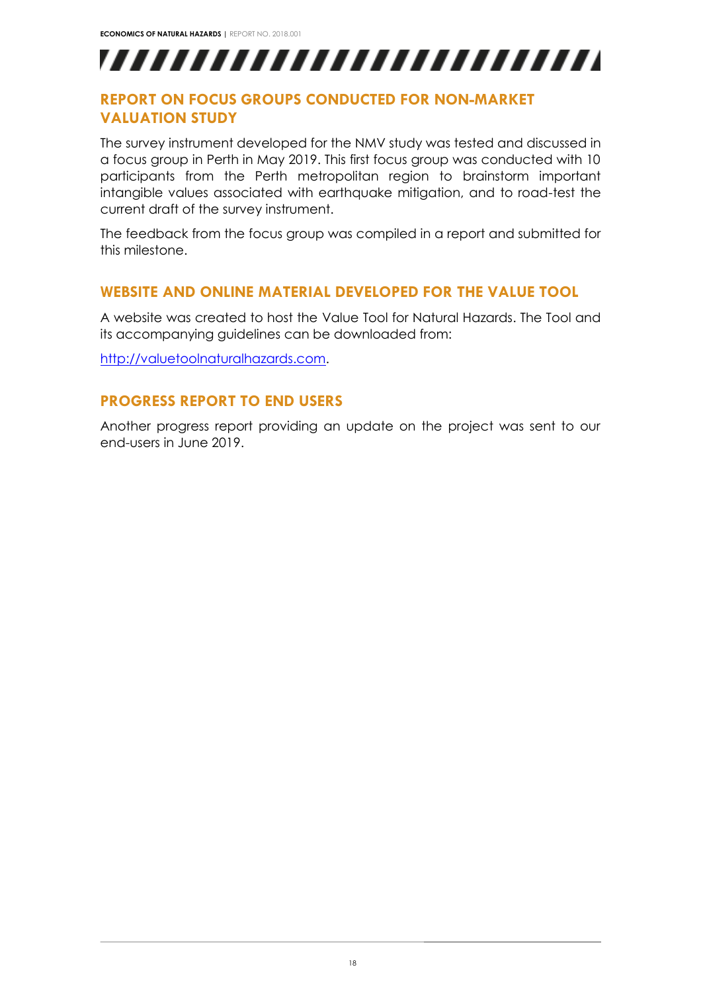,,,,,,,,,,,,,,,,,,,,,,,,,

#### <span id="page-17-0"></span>**REPORT ON FOCUS GROUPS CONDUCTED FOR NON-MARKET VALUATION STUDY**

The survey instrument developed for the NMV study was tested and discussed in a focus group in Perth in May 2019. This first focus group was conducted with 10 participants from the Perth metropolitan region to brainstorm important intangible values associated with earthquake mitigation, and to road-test the current draft of the survey instrument.

The feedback from the focus group was compiled in a report and submitted for this milestone.

#### <span id="page-17-1"></span>**WEBSITE AND ONLINE MATERIAL DEVELOPED FOR THE VALUE TOOL**

A website was created to host the Value Tool for Natural Hazards. The Tool and its accompanying guidelines can be downloaded from:

<span id="page-17-2"></span>[http://valuetoolnaturalhazards.com.](http://valuetoolnaturalhazards.com/)

#### **PROGRESS REPORT TO END USERS**

Another progress report providing an update on the project was sent to our end-users in June 2019.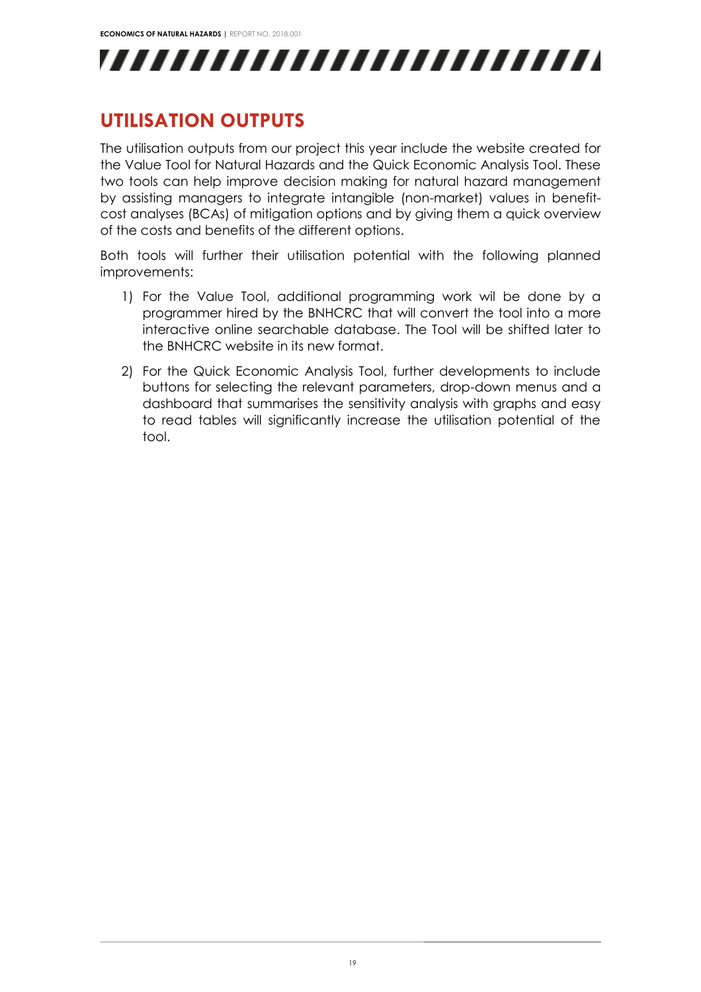![](_page_18_Picture_1.jpeg)

### <span id="page-18-0"></span>**UTILISATION OUTPUTS**

The utilisation outputs from our project this year include the website created for the Value Tool for Natural Hazards and the Quick Economic Analysis Tool. These two tools can help improve decision making for natural hazard management by assisting managers to integrate intangible (non-market) values in benefitcost analyses (BCAs) of mitigation options and by giving them a quick overview of the costs and benefits of the different options.

Both tools will further their utilisation potential with the following planned improvements:

- 1) For the Value Tool, additional programming work wil be done by a programmer hired by the BNHCRC that will convert the tool into a more interactive online searchable database. The Tool will be shifted later to the BNHCRC website in its new format.
- 2) For the Quick Economic Analysis Tool, further developments to include buttons for selecting the relevant parameters, drop-down menus and a dashboard that summarises the sensitivity analysis with graphs and easy to read tables will significantly increase the utilisation potential of the tool.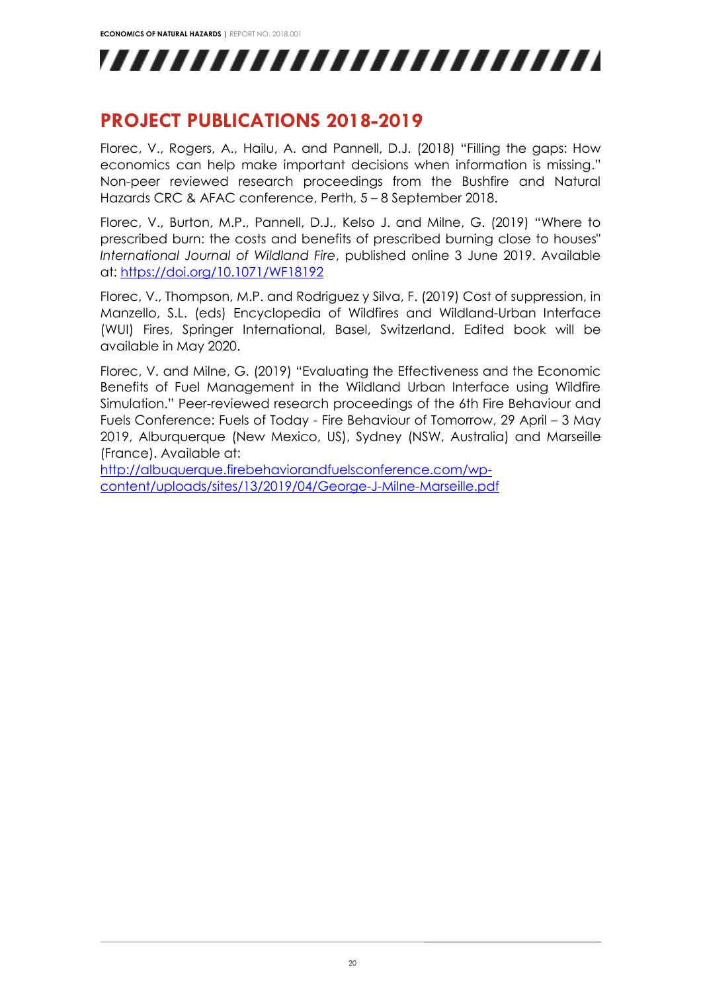,,,,,,,,,,,,,,,,,,,,,,,,,

### <span id="page-19-0"></span>**PROJECT PUBLICATIONS 2018-2019**

Florec, V., Rogers, A., Hailu, A. and Pannell, D.J. (2018) "Filling the gaps: How economics can help make important decisions when information is missing." Non-peer reviewed research proceedings from the Bushfire and Natural Hazards CRC & AFAC conference, Perth, 5 – 8 September 2018.

Florec, V., Burton, M.P., Pannell, D.J., Kelso J. and Milne, G. (2019) "Where to prescribed burn: the costs and benefits of prescribed burning close to houses" *International Journal of Wildland Fire*, published online 3 June 2019. Available at:<https://doi.org/10.1071/WF18192>

Florec, V., Thompson, M.P. and Rodriguez y Silva, F. (2019) Cost of suppression, in Manzello, S.L. (eds) Encyclopedia of Wildfires and Wildland-Urban Interface (WUI) Fires, Springer International, Basel, Switzerland. Edited book will be available in May 2020.

Florec, V. and Milne, G. (2019) "Evaluating the Effectiveness and the Economic Benefits of Fuel Management in the Wildland Urban Interface using Wildfire Simulation." Peer-reviewed research proceedings of the 6th Fire Behaviour and Fuels Conference: Fuels of Today - Fire Behaviour of Tomorrow, 29 April – 3 May 2019, Alburquerque (New Mexico, US), Sydney (NSW, Australia) and Marseille (France). Available at:

[http://albuquerque.firebehaviorandfuelsconference.com/wp](http://albuquerque.firebehaviorandfuelsconference.com/wp-content/uploads/sites/13/2019/04/George-J-Milne-Marseille.pdf)[content/uploads/sites/13/2019/04/George-J-Milne-Marseille.pdf](http://albuquerque.firebehaviorandfuelsconference.com/wp-content/uploads/sites/13/2019/04/George-J-Milne-Marseille.pdf)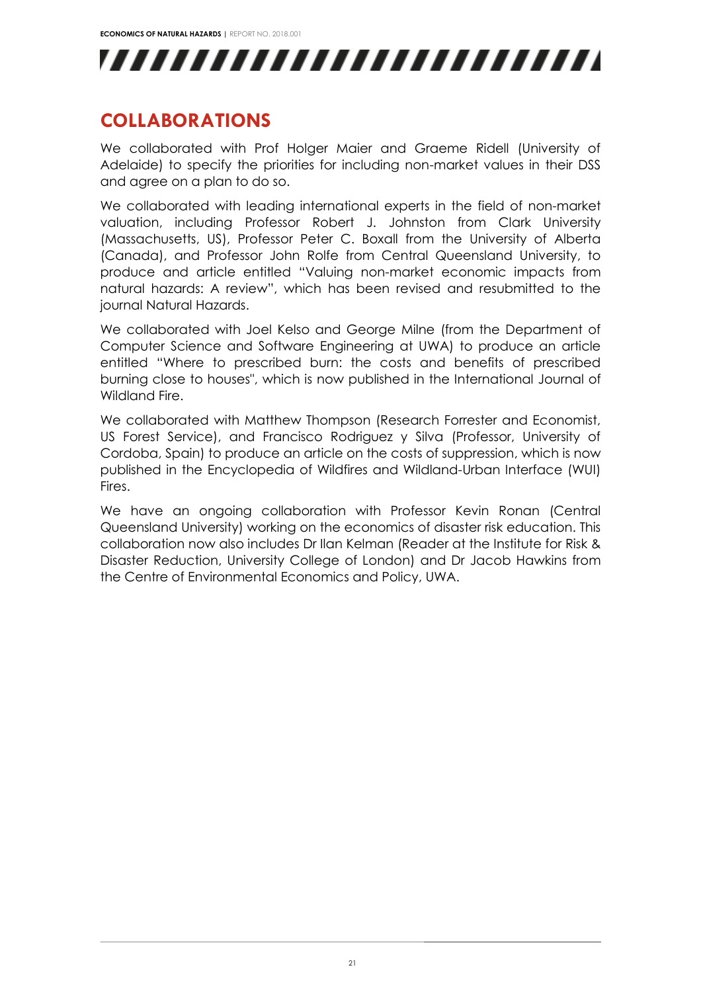![](_page_20_Picture_1.jpeg)

### <span id="page-20-0"></span>**COLLABORATIONS**

We collaborated with Prof Holger Maier and Graeme Ridell (University of Adelaide) to specify the priorities for including non-market values in their DSS and agree on a plan to do so.

We collaborated with leading international experts in the field of non-market valuation, including Professor Robert J. Johnston from Clark University (Massachusetts, US), Professor Peter C. Boxall from the University of Alberta (Canada), and Professor John Rolfe from Central Queensland University, to produce and article entitled "Valuing non-market economic impacts from natural hazards: A review", which has been revised and resubmitted to the journal Natural Hazards.

We collaborated with Joel Kelso and George Milne (from the Department of Computer Science and Software Engineering at UWA) to produce an article entitled "Where to prescribed burn: the costs and benefits of prescribed burning close to houses", which is now published in the International Journal of Wildland Fire.

We collaborated with Matthew Thompson (Research Forrester and Economist, US Forest Service), and Francisco Rodriguez y Silva (Professor, University of Cordoba, Spain) to produce an article on the costs of suppression, which is now published in the Encyclopedia of Wildfires and Wildland-Urban Interface (WUI) Fires.

We have an ongoing collaboration with Professor Kevin Ronan (Central Queensland University) working on the economics of disaster risk education. This collaboration now also includes Dr Ilan Kelman (Reader at the Institute for Risk & Disaster Reduction, University College of London) and Dr Jacob Hawkins from the Centre of Environmental Economics and Policy, UWA.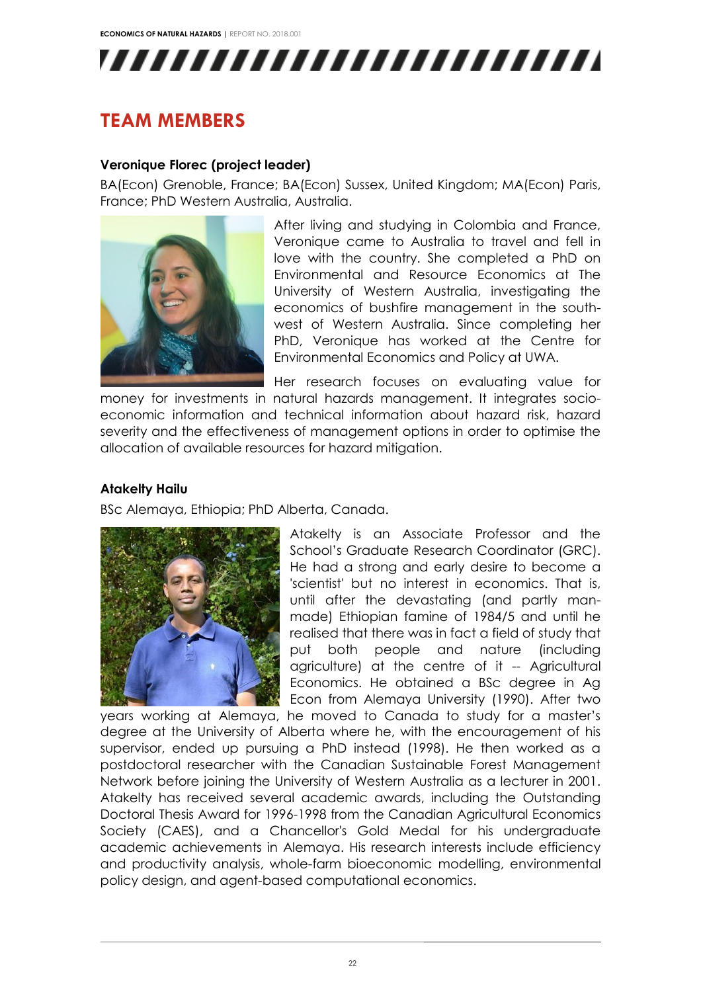![](_page_21_Picture_1.jpeg)

## <span id="page-21-0"></span>**TEAM MEMBERS**

#### **Veronique Florec (project leader)**

BA(Econ) Grenoble, France; BA(Econ) Sussex, United Kingdom; MA(Econ) Paris, France; PhD Western Australia, Australia.

![](_page_21_Picture_5.jpeg)

After living and studying in Colombia and France, Veronique came to Australia to travel and fell in love with the country. She completed a PhD on Environmental and Resource Economics at The University of Western Australia, investigating the economics of bushfire management in the southwest of Western Australia. Since completing her PhD, Veronique has worked at the Centre for Environmental Economics and Policy at UWA.

Her research focuses on evaluating value for

money for investments in natural hazards management. It integrates socioeconomic information and technical information about hazard risk, hazard severity and the effectiveness of management options in order to optimise the allocation of available resources for hazard mitigation.

#### **Atakelty Hailu**

BSc Alemaya, Ethiopia; PhD Alberta, Canada.

![](_page_21_Picture_11.jpeg)

Atakelty is an Associate Professor and the School's Graduate Research Coordinator (GRC). He had a strong and early desire to become a 'scientist' but no interest in economics. That is, until after the devastating (and partly manmade) Ethiopian famine of 1984/5 and until he realised that there was in fact a field of study that put both people and nature (including agriculture) at the centre of it -- Agricultural Economics. He obtained a BSc degree in Ag Econ from Alemaya University (1990). After two

years working at Alemaya, he moved to Canada to study for a master's degree at the University of Alberta where he, with the encouragement of his supervisor, ended up pursuing a PhD instead (1998). He then worked as a postdoctoral researcher with the Canadian Sustainable Forest Management Network before joining the University of Western Australia as a lecturer in 2001. Atakelty has received several academic awards, including the Outstanding Doctoral Thesis Award for 1996-1998 from the Canadian Agricultural Economics Society (CAES), and a Chancellor's Gold Medal for his undergraduate academic achievements in Alemaya. His research interests include efficiency and productivity analysis, whole-farm bioeconomic modelling, environmental policy design, and agent-based computational economics.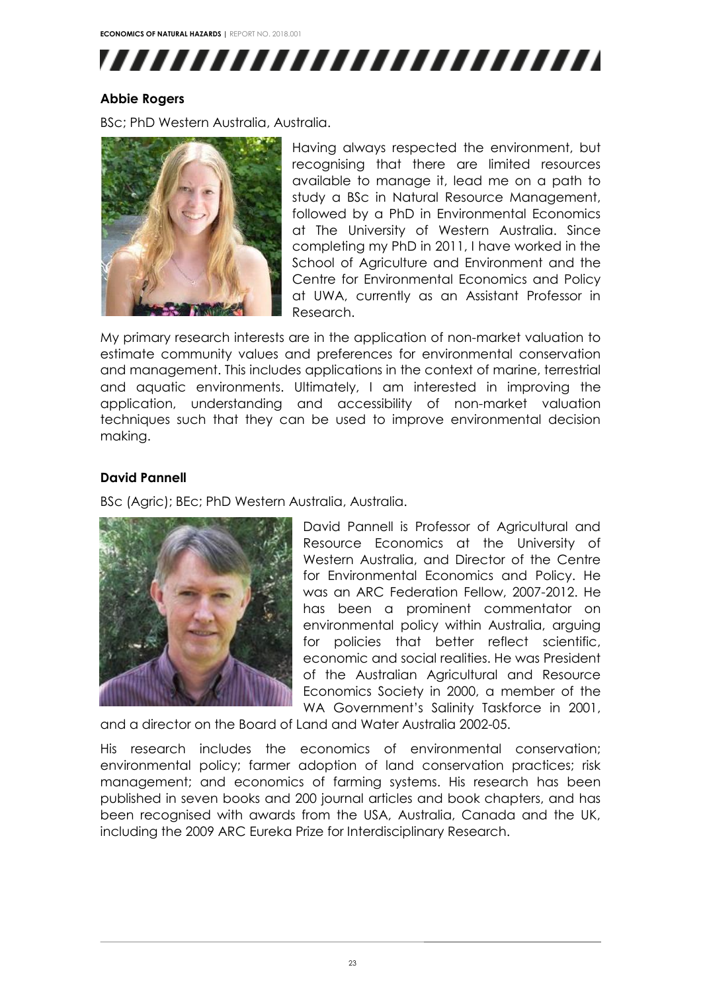**ECONOMICS OF NATURAL HAZARDS |** REPORT NO. 2018.001

![](_page_22_Picture_1.jpeg)

#### **Abbie Rogers**

BSc; PhD Western Australia, Australia.

![](_page_22_Picture_4.jpeg)

Having always respected the environment, but recognising that there are limited resources available to manage it, lead me on a path to study a BSc in Natural Resource Management, followed by a PhD in Environmental Economics at The University of Western Australia. Since completing my PhD in 2011, I have worked in the School of Agriculture and Environment and the Centre for Environmental Economics and Policy at UWA, currently as an Assistant Professor in Research.

My primary research interests are in the application of non-market valuation to estimate community values and preferences for environmental conservation and management. This includes applications in the context of marine, terrestrial and aquatic environments. Ultimately, I am interested in improving the application, understanding and accessibility of non-market valuation techniques such that they can be used to improve environmental decision making.

#### **David Pannell**

BSc (Agric); BEc; PhD Western Australia, Australia.

![](_page_22_Picture_9.jpeg)

David Pannell is Professor of Agricultural and Resource Economics at the University of Western Australia, and Director of the Centre for Environmental Economics and Policy. He was an ARC Federation Fellow, 2007-2012. He has been a prominent commentator on environmental policy within Australia, arguing for policies that better reflect scientific, economic and social realities. He was President of the Australian Agricultural and Resource Economics Society in 2000, a member of the WA Government's Salinity Taskforce in 2001,

and a director on the Board of Land and Water Australia 2002-05.

His research includes the economics of environmental conservation; environmental policy; farmer adoption of land conservation practices; risk management; and economics of farming systems. His research has been published in seven books and 200 journal articles and book chapters, and has been recognised with awards from the USA, Australia, Canada and the UK, including the 2009 ARC Eureka Prize for Interdisciplinary Research.